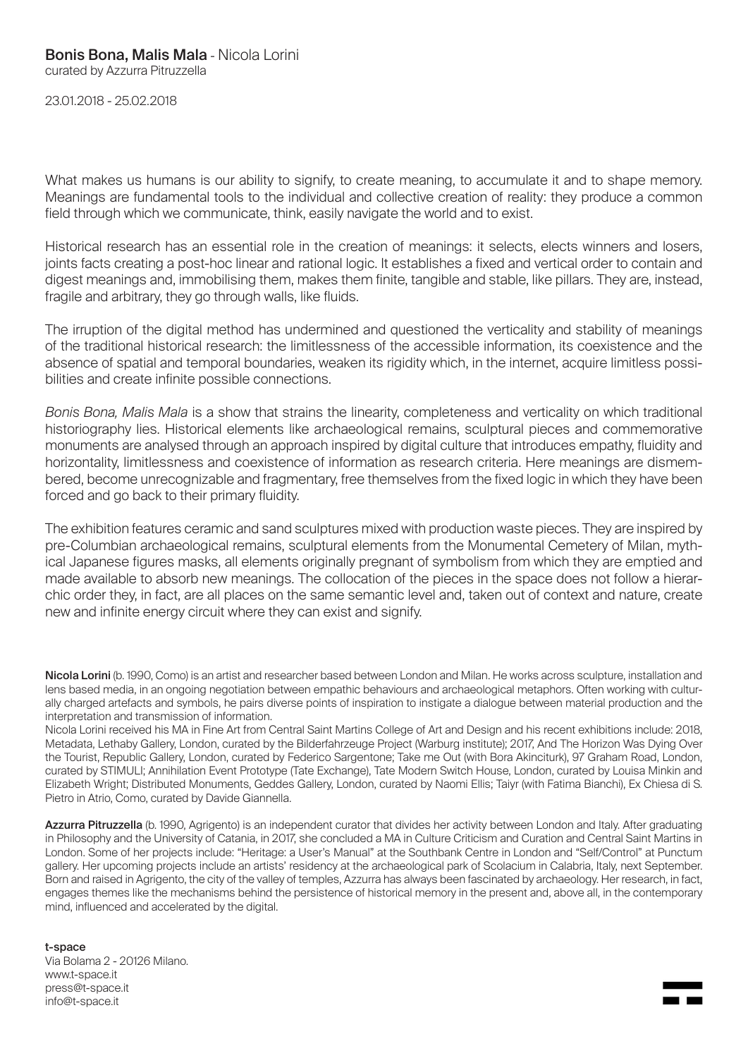23.01.2018 - 25.02.2018

What makes us humans is our ability to signify, to create meaning, to accumulate it and to shape memory. Meanings are fundamental tools to the individual and collective creation of reality: they produce a common field through which we communicate, think, easily navigate the world and to exist.

Historical research has an essential role in the creation of meanings: it selects, elects winners and losers, joints facts creating a post-hoc linear and rational logic. It establishes a fixed and vertical order to contain and digest meanings and, immobilising them, makes them finite, tangible and stable, like pillars. They are, instead, fragile and arbitrary, they go through walls, like fluids.

The irruption of the digital method has undermined and questioned the verticality and stability of meanings of the traditional historical research: the limitlessness of the accessible information, its coexistence and the absence of spatial and temporal boundaries, weaken its rigidity which, in the internet, acquire limitless possibilities and create infinite possible connections.

*Bonis Bona, Malis Mala* is a show that strains the linearity, completeness and verticality on which traditional historiography lies. Historical elements like archaeological remains, sculptural pieces and commemorative monuments are analysed through an approach inspired by digital culture that introduces empathy, fluidity and horizontality, limitlessness and coexistence of information as research criteria. Here meanings are dismembered, become unrecognizable and fragmentary, free themselves from the fixed logic in which they have been forced and go back to their primary fluidity.

The exhibition features ceramic and sand sculptures mixed with production waste pieces. They are inspired by pre-Columbian archaeological remains, sculptural elements from the Monumental Cemetery of Milan, mythical Japanese figures masks, all elements originally pregnant of symbolism from which they are emptied and made available to absorb new meanings. The collocation of the pieces in the space does not follow a hierarchic order they, in fact, are all places on the same semantic level and, taken out of context and nature, create new and infinite energy circuit where they can exist and signify.

Nicola Lorini (b. 1990, Como) is an artist and researcher based between London and Milan. He works across sculpture, installation and lens based media, in an ongoing negotiation between empathic behaviours and archaeological metaphors. Often working with culturally charged artefacts and symbols, he pairs diverse points of inspiration to instigate a dialogue between material production and the interpretation and transmission of information.

Nicola Lorini received his MA in Fine Art from Central Saint Martins College of Art and Design and his recent exhibitions include: 2018, Metadata, Lethaby Gallery, London, curated by the Bilderfahrzeuge Project (Warburg institute); 2017, And The Horizon Was Dying Over the Tourist, Republic Gallery, London, curated by Federico Sargentone; Take me Out (with Bora Akinciturk), 97 Graham Road, London, curated by STIMULI; Annihilation Event Prototype (Tate Exchange), Tate Modern Switch House, London, curated by Louisa Minkin and Elizabeth Wright; Distributed Monuments, Geddes Gallery, London, curated by Naomi Ellis; Taiyr (with Fatima Bianchi), Ex Chiesa di S. Pietro in Atrio, Como, curated by Davide Giannella.

Azzurra Pitruzzella (b. 1990, Agrigento) is an independent curator that divides her activity between London and Italy. After graduating in Philosophy and the University of Catania, in 2017, she concluded a MA in Culture Criticism and Curation and Central Saint Martins in London. Some of her projects include: "Heritage: a User's Manual" at the Southbank Centre in London and "Self/Control" at Punctum gallery. Her upcoming projects include an artists' residency at the archaeological park of Scolacium in Calabria, Italy, next September. Born and raised in Agrigento, the city of the valley of temples, Azzurra has always been fascinated by archaeology. Her research, in fact, engages themes like the mechanisms behind the persistence of historical memory in the present and, above all, in the contemporary mind, influenced and accelerated by the digital.

#### t-space

Via Bolama 2 - 20126 Milano. www.t-space.it press@t-space.it info@t-space.it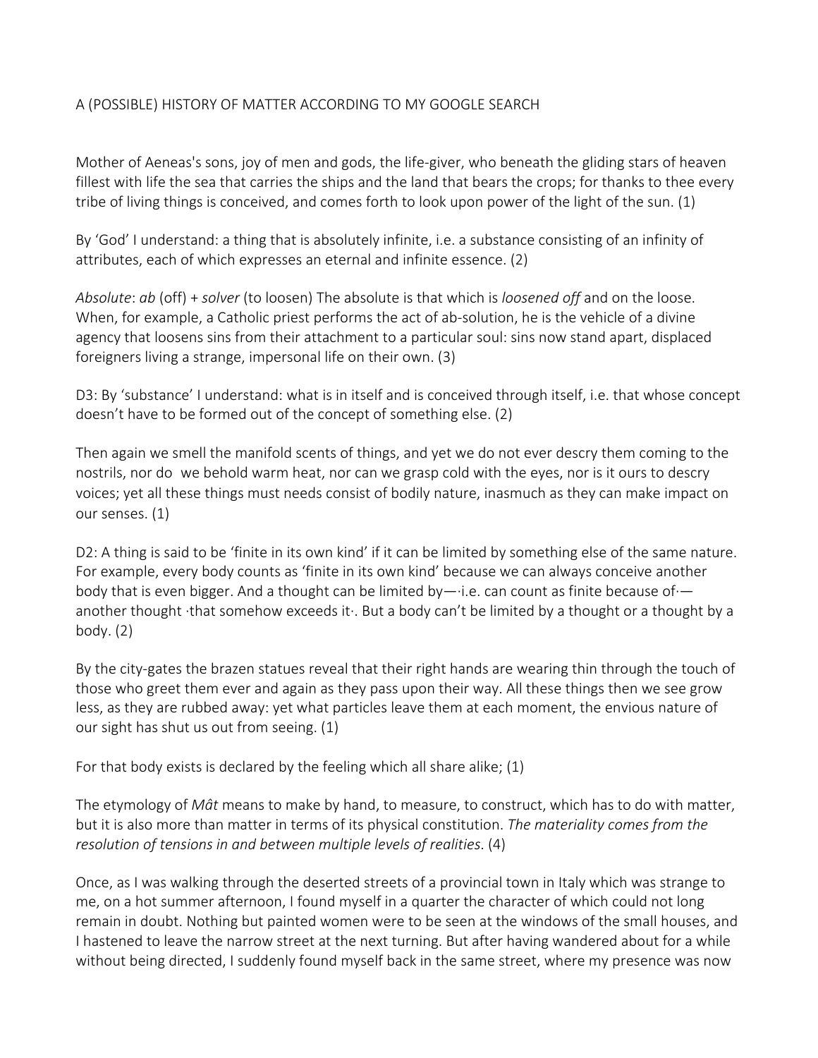## A (POSSIBLE) HISTORY OF MATTER ACCORDING TO MY GOOGLE SEARCH

Mother of Aeneas's sons, joy of men and gods, the life-giver, who beneath the gliding stars of heaven fillest with life the sea that carries the ships and the land that bears the crops; for thanks to thee every tribe of living things is conceived, and comes forth to look upon power of the light of the sun. (1)

By 'God' I understand: a thing that is absolutely infinite, i.e. a substance consisting of an infinity of attributes, each of which expresses an eternal and infinite essence. (2)

*Absolute: ab* (off) + *solver* (to loosen) The absolute is that which is *loosened off* and on the loose. When, for example, a Catholic priest performs the act of ab-solution, he is the vehicle of a divine agency that loosens sins from their attachment to a particular soul: sins now stand apart, displaced foreigners living a strange, impersonal life on their own. (3)

D3: By 'substance' I understand: what is in itself and is conceived through itself, i.e. that whose concept doesn't have to be formed out of the concept of something else. (2)

Then again we smell the manifold scents of things, and yet we do not ever descry them coming to the nostrils, nor do we behold warm heat, nor can we grasp cold with the eyes, nor is it ours to descry voices; yet all these things must needs consist of bodily nature, inasmuch as they can make impact on our senses. (1)

D2: A thing is said to be 'finite in its own kind' if it can be limited by something else of the same nature. For example, every body counts as 'finite in its own kind' because we can always conceive another body that is even bigger. And a thought can be limited by— $\cdot$ i.e. can count as finite because of $\cdot$  another thought  $\cdot$ that somehow exceeds it $\cdot$ . But a body can't be limited by a thought or a thought by a body. $(2)$ 

By the city-gates the brazen statues reveal that their right hands are wearing thin through the touch of those who greet them ever and again as they pass upon their way. All these things then we see grow less, as they are rubbed away: yet what particles leave them at each moment, the envious nature of our sight has shut us out from seeing. (1)

For that body exists is declared by the feeling which all share alike;  $(1)$ 

The etymology of *Mât* means to make by hand, to measure, to construct, which has to do with matter, but it is also more than matter in terms of its physical constitution. The materiality comes from the *resolution of tensions in and between multiple levels of realities.* (4)

Once, as I was walking through the deserted streets of a provincial town in Italy which was strange to me, on a hot summer afternoon, I found myself in a quarter the character of which could not long remain in doubt. Nothing but painted women were to be seen at the windows of the small houses, and I hastened to leave the narrow street at the next turning. But after having wandered about for a while without being directed, I suddenly found myself back in the same street, where my presence was now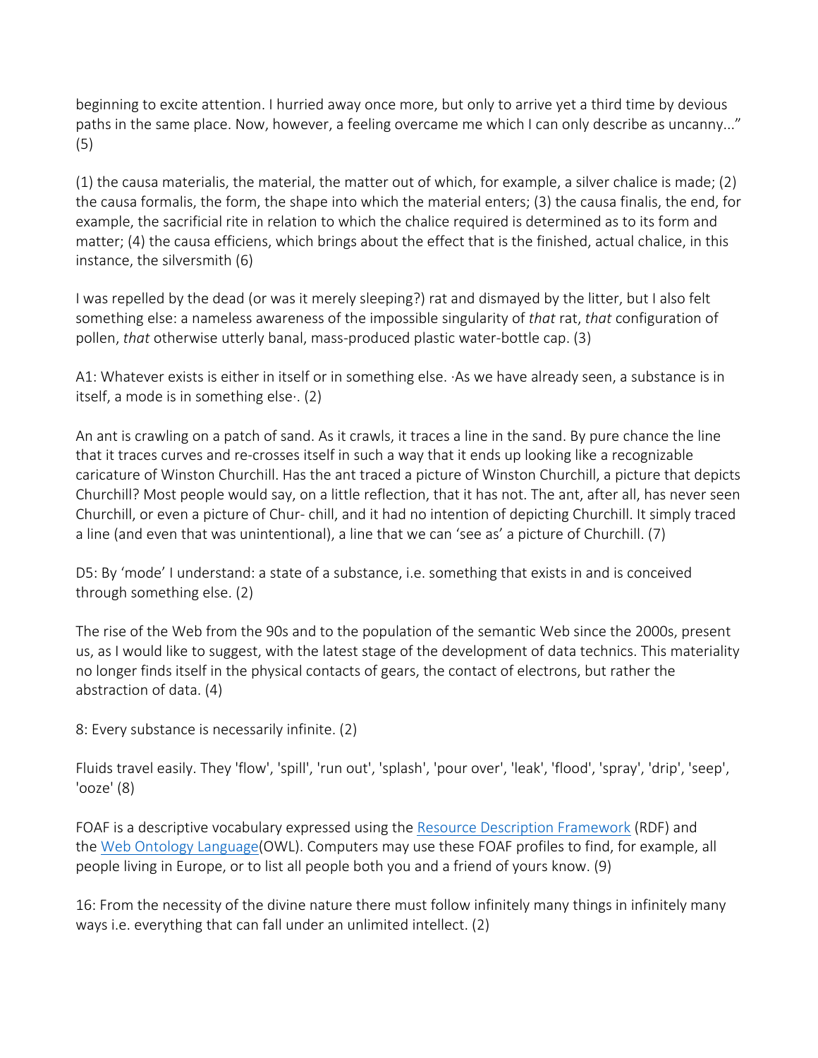beginning to excite attention. I hurried away once more, but only to arrive yet a third time by devious paths in the same place. Now, however, a feeling overcame me which I can only describe as uncanny..." (5)

(1) the causa materialis, the material, the matter out of which, for example, a silver chalice is made; (2) the causa formalis, the form, the shape into which the material enters; (3) the causa finalis, the end, for example, the sacrificial rite in relation to which the chalice required is determined as to its form and matter; (4) the causa efficiens, which brings about the effect that is the finished, actual chalice, in this instance, the silversmith  $(6)$ 

I was repelled by the dead (or was it merely sleeping?) rat and dismayed by the litter, but I also felt something else: a nameless awareness of the impossible singularity of *that* rat, *that* configuration of pollen, *that* otherwise utterly banal, mass-produced plastic water-bottle cap. (3)

A1: Whatever exists is either in itself or in something else. As we have already seen, a substance is in itself, a mode is in something else $\cdot$ . (2)

An ant is crawling on a patch of sand. As it crawls, it traces a line in the sand. By pure chance the line that it traces curves and re-crosses itself in such a way that it ends up looking like a recognizable caricature of Winston Churchill. Has the ant traced a picture of Winston Churchill, a picture that depicts Churchill? Most people would say, on a little reflection, that it has not. The ant, after all, has never seen Churchill, or even a picture of Chur- chill, and it had no intention of depicting Churchill. It simply traced a line (and even that was unintentional), a line that we can 'see as' a picture of Churchill. (7)

D5: By 'mode' I understand: a state of a substance, i.e. something that exists in and is conceived through something else. (2)

The rise of the Web from the 90s and to the population of the semantic Web since the 2000s, present us, as I would like to suggest, with the latest stage of the development of data technics. This materiality no longer finds itself in the physical contacts of gears, the contact of electrons, but rather the abstraction of data. (4)

8: Every substance is necessarily infinite. (2)

Fluids travel easily. They 'flow', 'spill', 'run out', 'splash', 'pour over', 'leak', 'flood', 'spray', 'drip', 'seep',  $'$ ooze $'$  $(8)$ 

FOAF is a descriptive vocabulary expressed using the Resource Description Framework (RDF) and the Web Ontology Language(OWL). Computers may use these FOAF profiles to find, for example, all people living in Europe, or to list all people both you and a friend of yours know. (9)

16: From the necessity of the divine nature there must follow infinitely many things in infinitely many ways i.e. everything that can fall under an unlimited intellect. (2)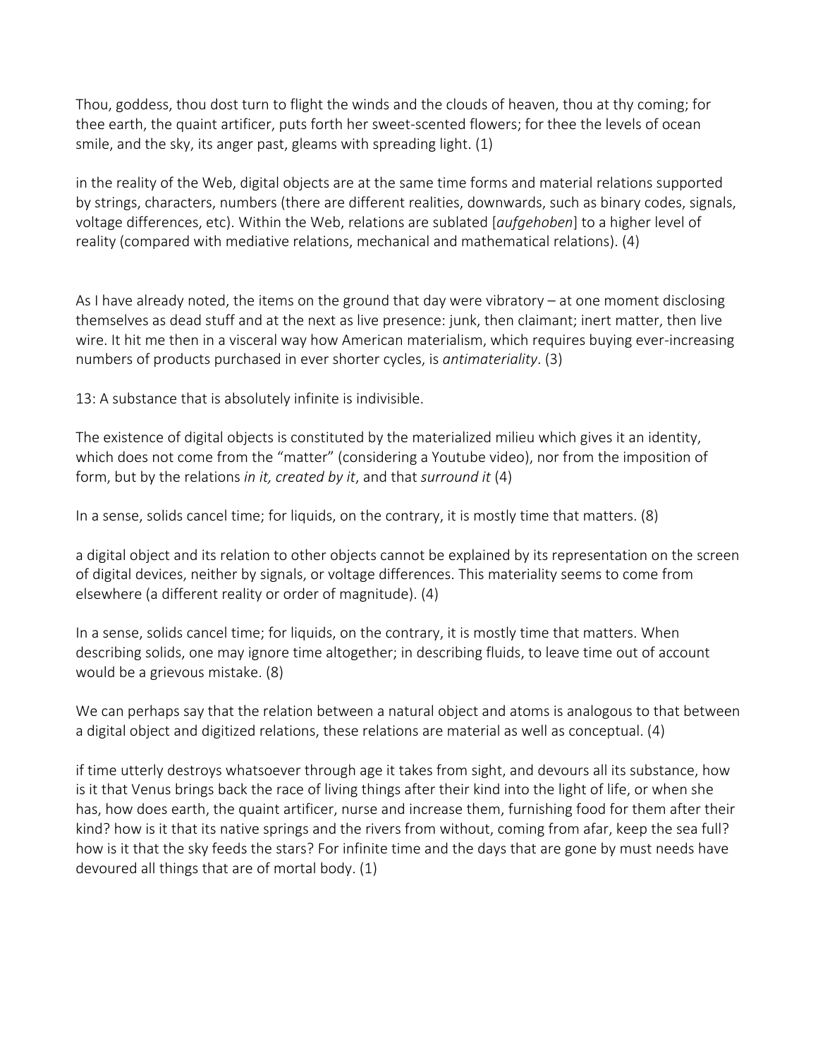Thou, goddess, thou dost turn to flight the winds and the clouds of heaven, thou at thy coming; for thee earth, the quaint artificer, puts forth her sweet-scented flowers; for thee the levels of ocean smile, and the sky, its anger past, gleams with spreading light.  $(1)$ 

in the reality of the Web, digital objects are at the same time forms and material relations supported by strings, characters, numbers (there are different realities, downwards, such as binary codes, signals, voltage differences, etc). Within the Web, relations are sublated [*aufgehoben*] to a higher level of reality (compared with mediative relations, mechanical and mathematical relations). (4)

As I have already noted, the items on the ground that day were vibratory  $-$  at one moment disclosing themselves as dead stuff and at the next as live presence: junk, then claimant; inert matter, then live wire. It hit me then in a visceral way how American materialism, which requires buying ever-increasing numbers of products purchased in ever shorter cycles, is *antimateriality*. (3)

13: A substance that is absolutely infinite is indivisible.

The existence of digital objects is constituted by the materialized milieu which gives it an identity, which does not come from the "matter" (considering a Youtube video), nor from the imposition of form, but by the relations *in it, created by it*, and that *surround it* (4)

In a sense, solids cancel time; for liquids, on the contrary, it is mostly time that matters.  $(8)$ 

a digital object and its relation to other objects cannot be explained by its representation on the screen of digital devices, neither by signals, or voltage differences. This materiality seems to come from elsewhere (a different reality or order of magnitude). (4)

In a sense, solids cancel time; for liquids, on the contrary, it is mostly time that matters. When describing solids, one may ignore time altogether; in describing fluids, to leave time out of account would be a grievous mistake. (8)

We can perhaps say that the relation between a natural object and atoms is analogous to that between a digital object and digitized relations, these relations are material as well as conceptual.  $(4)$ 

if time utterly destroys whatsoever through age it takes from sight, and devours all its substance, how is it that Venus brings back the race of living things after their kind into the light of life, or when she has, how does earth, the quaint artificer, nurse and increase them, furnishing food for them after their kind? how is it that its native springs and the rivers from without, coming from afar, keep the sea full? how is it that the sky feeds the stars? For infinite time and the days that are gone by must needs have devoured all things that are of mortal body.  $(1)$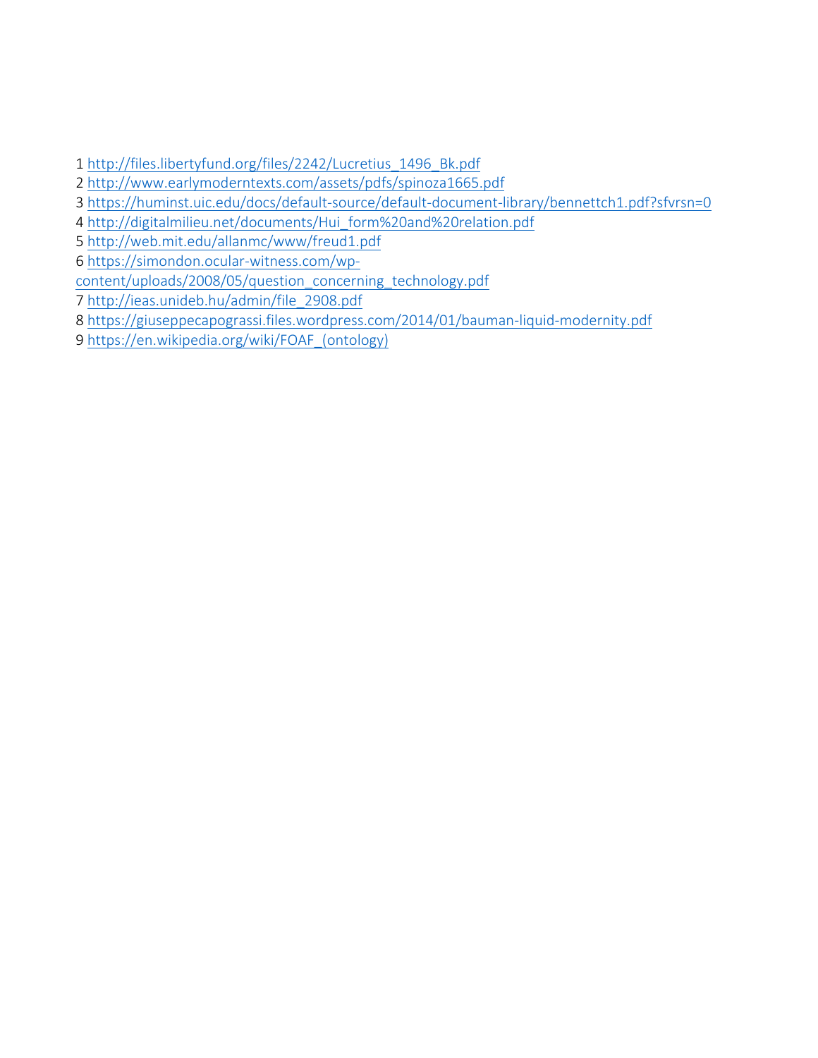1 http://files.libertyfund.org/files/2242/Lucretius\_1496\_Bk.pdf

- 2 http://www.earlymoderntexts.com/assets/pdfs/spinoza1665.pdf
- 3 https://huminst.uic.edu/docs/default-source/default-document-library/bennettch1.pdf?sfvrsn=0
- 4 http://digitalmilieu.net/documents/Hui\_form%20and%20relation.pdf
- 5 http://web.mit.edu/allanmc/www/freud1.pdf
- 6 https://simondon.ocular-witness.com/wp-
- content/uploads/2008/05/question\_concerning\_technology.pdf
- 7 http://ieas.unideb.hu/admin/file\_2908.pdf
- 8 https://giuseppecapograssi.files.wordpress.com/2014/01/bauman-liquid-modernity.pdf
- 9 https://en.wikipedia.org/wiki/FOAF (ontology)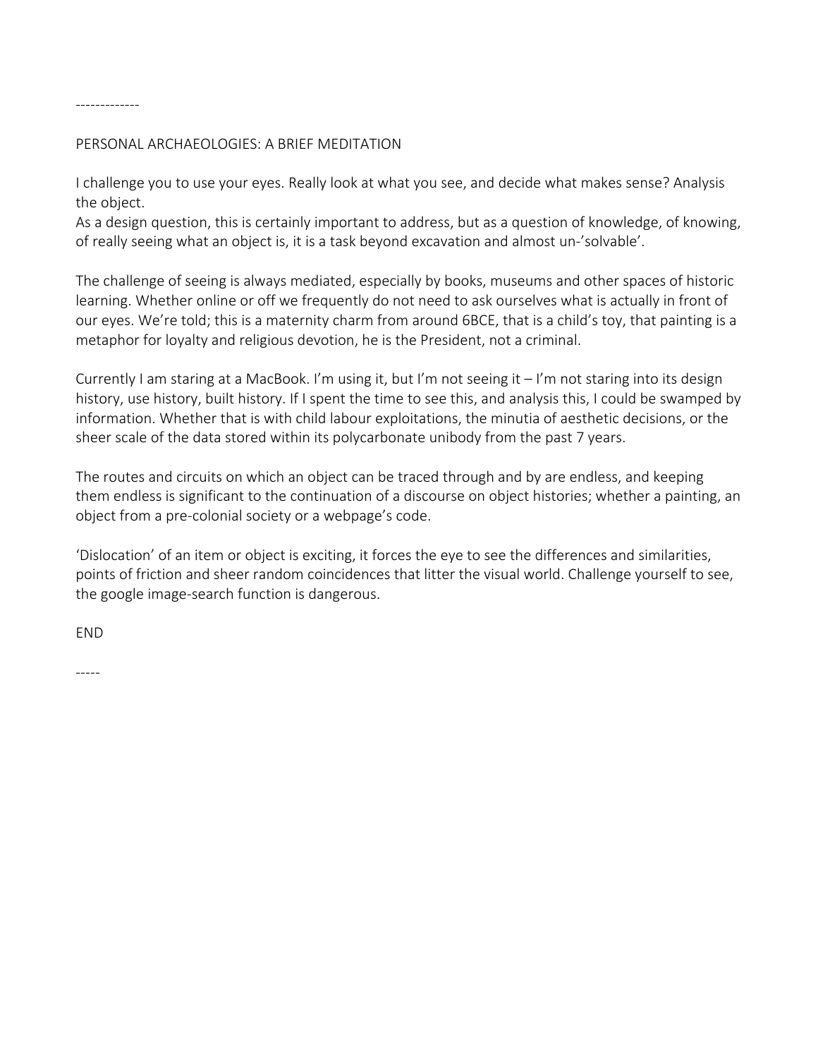#### -------------

### PERSONAL ARCHAEOLOGIES: A BRIEF MEDITATION

I challenge you to use your eyes. Really look at what you see, and decide what makes sense? Analysis the object.

As a design question, this is certainly important to address, but as a question of knowledge, of knowing, of really seeing what an object is, it is a task beyond excavation and almost un-'solvable'.

The challenge of seeing is always mediated, especially by books, museums and other spaces of historic learning. Whether online or off we frequently do not need to ask ourselves what is actually in front of our eyes. We're told; this is a maternity charm from around 6BCE, that is a child's toy, that painting is a metaphor for loyalty and religious devotion, he is the President, not a criminal.

Currently I am staring at a MacBook. I'm using it, but I'm not seeing it  $-1$ 'm not staring into its design history, use history, built history. If I spent the time to see this, and analysis this, I could be swamped by information. Whether that is with child labour exploitations, the minutia of aesthetic decisions, or the sheer scale of the data stored within its polycarbonate unibody from the past 7 years.

The routes and circuits on which an object can be traced through and by are endless, and keeping them endless is significant to the continuation of a discourse on object histories; whether a painting, an object from a pre-colonial society or a webpage's code.

'Dislocation' of an item or object is exciting, it forces the eye to see the differences and similarities, points of friction and sheer random coincidences that litter the visual world. Challenge yourself to see, the google image-search function is dangerous.

END

-----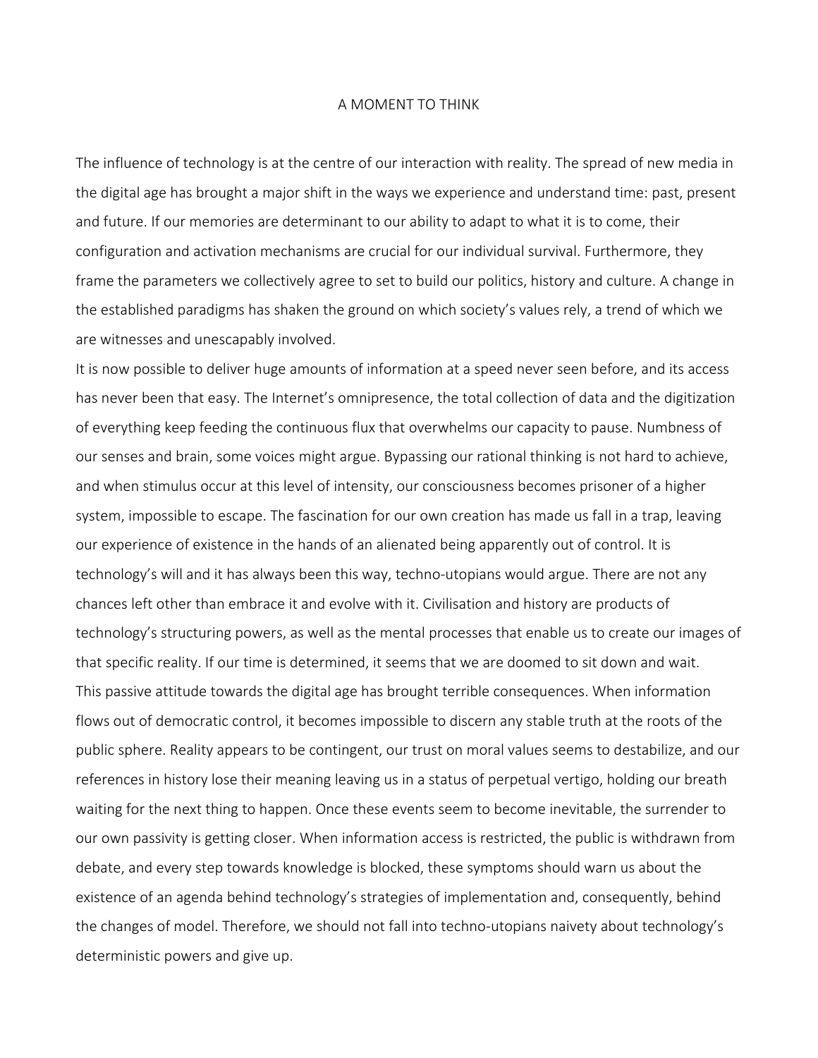### A MOMENT TO THINK

The influence of technology is at the centre of our interaction with reality. The spread of new media in the digital age has brought a major shift in the ways we experience and understand time: past, present and future. If our memories are determinant to our ability to adapt to what it is to come, their configuration and activation mechanisms are crucial for our individual survival. Furthermore, they frame the parameters we collectively agree to set to build our politics, history and culture. A change in the established paradigms has shaken the ground on which society's values rely, a trend of which we are witnesses and unescapably involved.

It is now possible to deliver huge amounts of information at a speed never seen before, and its access has never been that easy. The Internet's omnipresence, the total collection of data and the digitization of everything keep feeding the continuous flux that overwhelms our capacity to pause. Numbness of our senses and brain, some voices might argue. Bypassing our rational thinking is not hard to achieve, and when stimulus occur at this level of intensity, our consciousness becomes prisoner of a higher system, impossible to escape. The fascination for our own creation has made us fall in a trap, leaving our experience of existence in the hands of an alienated being apparently out of control. It is technology's will and it has always been this way, techno-utopians would argue. There are not any chances left other than embrace it and evolve with it. Civilisation and history are products of technology's structuring powers, as well as the mental processes that enable us to create our images of that specific reality. If our time is determined, it seems that we are doomed to sit down and wait. This passive attitude towards the digital age has brought terrible consequences. When information flows out of democratic control, it becomes impossible to discern any stable truth at the roots of the public sphere. Reality appears to be contingent, our trust on moral values seems to destabilize, and our references in history lose their meaning leaving us in a status of perpetual vertigo, holding our breath waiting for the next thing to happen. Once these events seem to become inevitable, the surrender to our own passivity is getting closer. When information access is restricted, the public is withdrawn from debate, and every step towards knowledge is blocked, these symptoms should warn us about the existence of an agenda behind technology's strategies of implementation and, consequently, behind the changes of model. Therefore, we should not fall into techno-utopians naivety about technology's deterministic powers and give up.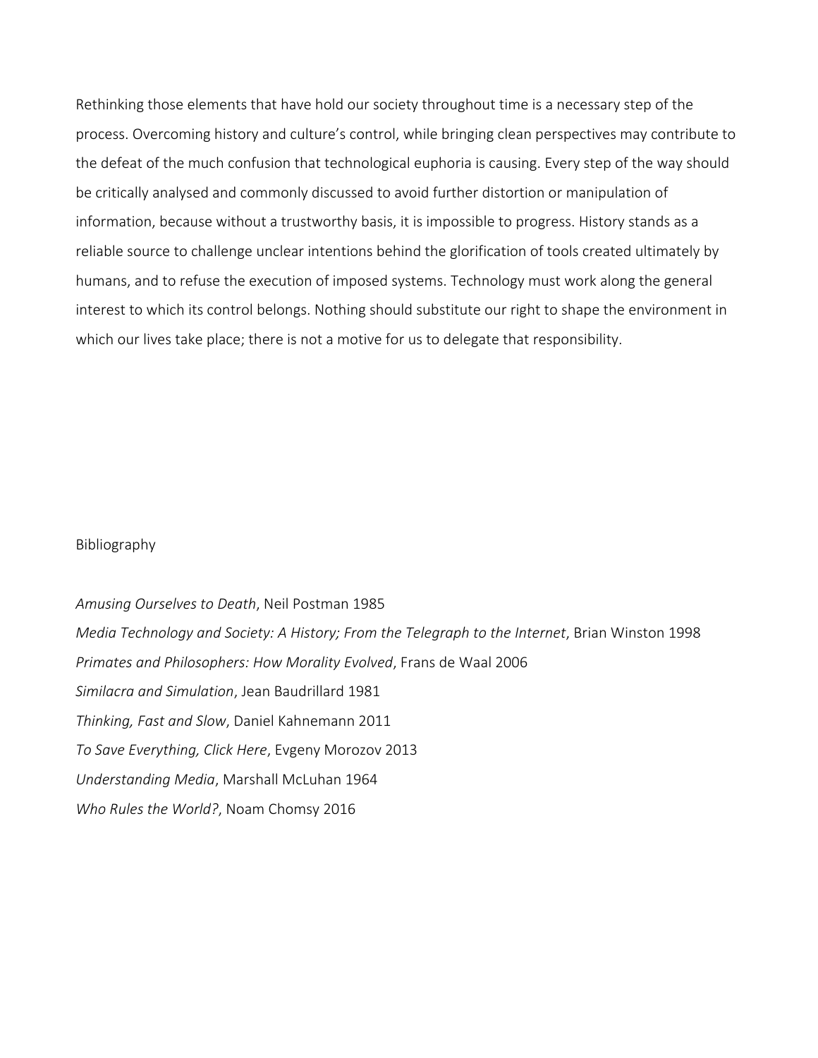Rethinking those elements that have hold our society throughout time is a necessary step of the process. Overcoming history and culture's control, while bringing clean perspectives may contribute to the defeat of the much confusion that technological euphoria is causing. Every step of the way should be critically analysed and commonly discussed to avoid further distortion or manipulation of information, because without a trustworthy basis, it is impossible to progress. History stands as a reliable source to challenge unclear intentions behind the glorification of tools created ultimately by humans, and to refuse the execution of imposed systems. Technology must work along the general interest to which its control belongs. Nothing should substitute our right to shape the environment in which our lives take place; there is not a motive for us to delegate that responsibility.

#### Bibliography

*Amusing Ourselves to Death*, Neil Postman 1985 *Media Technology and Society: A History; From the Telegraph to the Internet, Brian Winston 1998* Primates and Philosophers: How Morality Evolved, Frans de Waal 2006 *Similacra and Simulation*, Jean Baudrillard 1981 **Thinking, Fast and Slow, Daniel Kahnemann 2011** *To Save Everything, Click Here*, Evgeny Morozov 2013 *Understanding Media*, Marshall McLuhan 1964 Who Rules the World?, Noam Chomsy 2016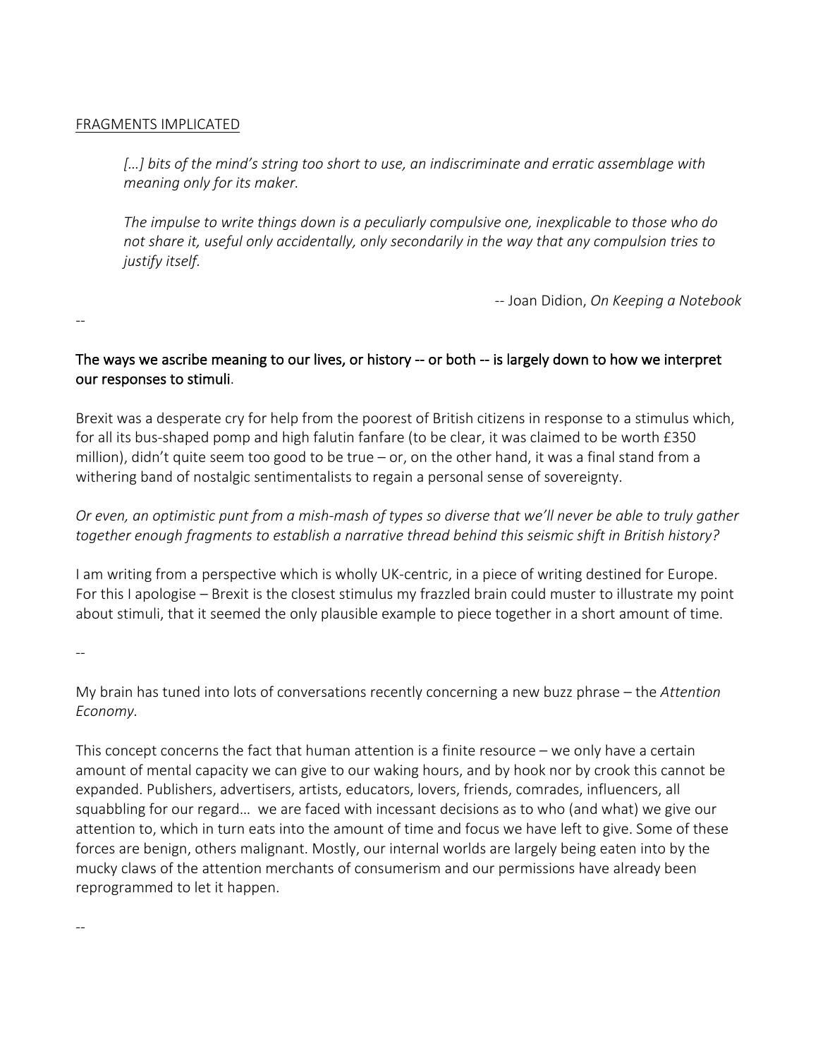### FRAGMENTS IMPLICATED

[...] bits of the mind's string too short to use, an indiscriminate and erratic assemblage with *meaning only for its maker.* 

The *impulse to write things down is a peculiarly compulsive one, inexplicable to those who do* not share it, useful only accidentally, only secondarily in the way that any compulsion tries to *justify itself.* 

-- Joan Didion, *On Keeping a Notebook* 

## The ways we ascribe meaning to our lives, or history -- or both -- is largely down to how we interpret our responses to stimuli.

Brexit was a desperate cry for help from the poorest of British citizens in response to a stimulus which, for all its bus-shaped pomp and high falutin fanfare (to be clear, it was claimed to be worth £350 million), didn't quite seem too good to be true – or, on the other hand, it was a final stand from a withering band of nostalgic sentimentalists to regain a personal sense of sovereignty.

# *Or* even, an optimistic punt from a mish-mash of types so diverse that we'll never be able to truly gather together enough fragments to establish a narrative thread behind this seismic shift in British history?

I am writing from a perspective which is wholly UK-centric, in a piece of writing destined for Europe. For this I apologise – Brexit is the closest stimulus my frazzled brain could muster to illustrate my point about stimuli, that it seemed the only plausible example to piece together in a short amount of time.

--

--

My brain has tuned into lots of conversations recently concerning a new buzz phrase – the *Attention Economy.* 

This concept concerns the fact that human attention is a finite resource  $-$  we only have a certain amount of mental capacity we can give to our waking hours, and by hook nor by crook this cannot be expanded. Publishers, advertisers, artists, educators, lovers, friends, comrades, influencers, all squabbling for our regard... we are faced with incessant decisions as to who (and what) we give our attention to, which in turn eats into the amount of time and focus we have left to give. Some of these forces are benign, others malignant. Mostly, our internal worlds are largely being eaten into by the mucky claws of the attention merchants of consumerism and our permissions have already been reprogrammed to let it happen.

--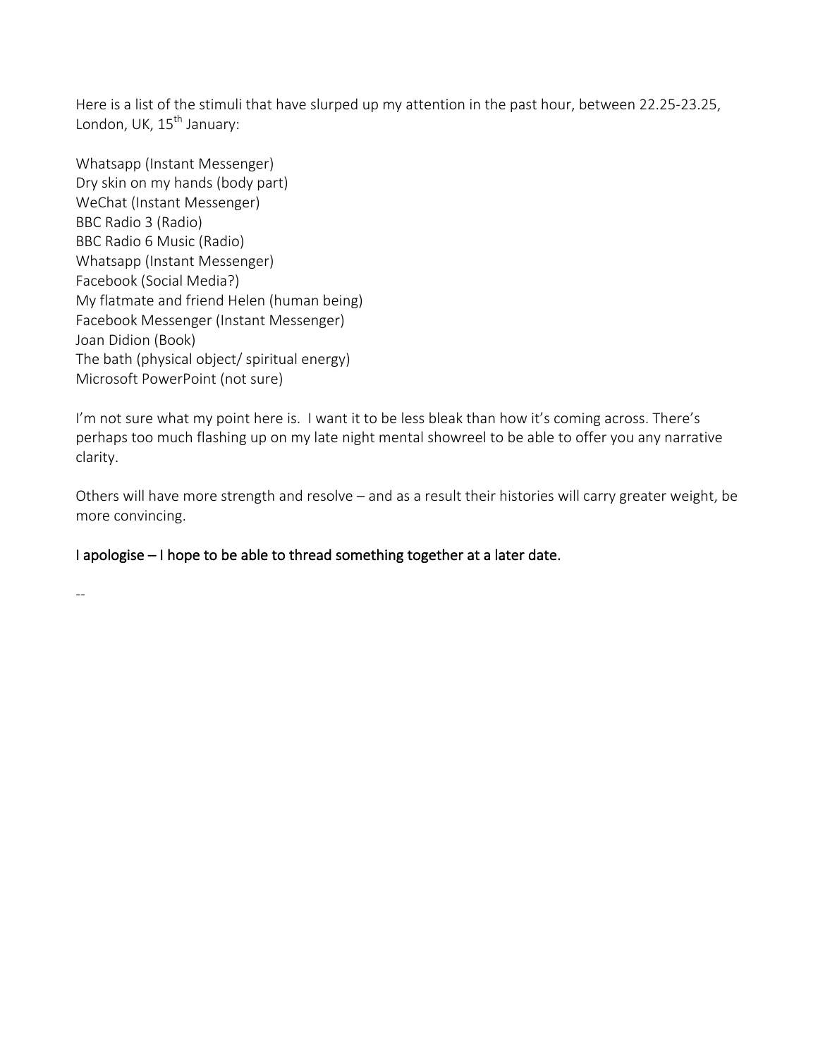Here is a list of the stimuli that have slurped up my attention in the past hour, between 22.25-23.25, London, UK, 15<sup>th</sup> January:

Whatsapp (Instant Messenger) Dry skin on my hands (body part) WeChat (Instant Messenger) BBC Radio 3 (Radio) BBC Radio 6 Music (Radio) Whatsapp (Instant Messenger) Facebook (Social Media?) My flatmate and friend Helen (human being) Facebook Messenger (Instant Messenger) Joan Didion (Book) The bath (physical object/ spiritual energy) Microsoft PowerPoint (not sure)

I'm not sure what my point here is. I want it to be less bleak than how it's coming across. There's perhaps too much flashing up on my late night mental showreel to be able to offer you any narrative clarity. 

Others will have more strength and resolve – and as a result their histories will carry greater weight, be more convincing.

# I apologise – I hope to be able to thread something together at a later date.

--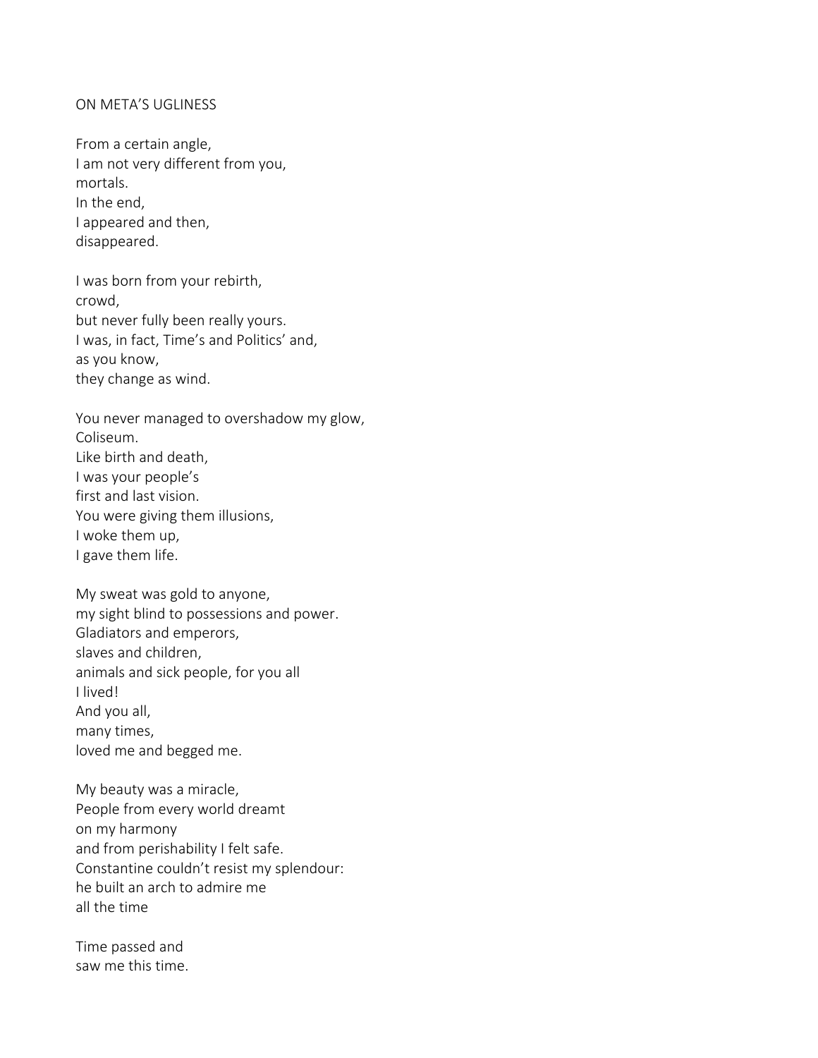### ON META'S UGLINESS

From a certain angle, I am not very different from you, mortals. In the end I appeared and then, disappeared.

I was born from your rebirth, crowd, but never fully been really yours. I was, in fact, Time's and Politics' and, as you know, they change as wind.

You never managed to overshadow my glow, Coliseum. Like birth and death, I was your people's first and last vision. You were giving them illusions, I woke them up, I gave them life.

My sweat was gold to anyone, my sight blind to possessions and power. Gladiators and emperors, slaves and children, animals and sick people, for you all I lived! And you all, many times, loved me and begged me.

My beauty was a miracle, People from every world dreamt on my harmony and from perishability I felt safe. Constantine couldn't resist my splendour: he built an arch to admire me all the time

Time passed and saw me this time.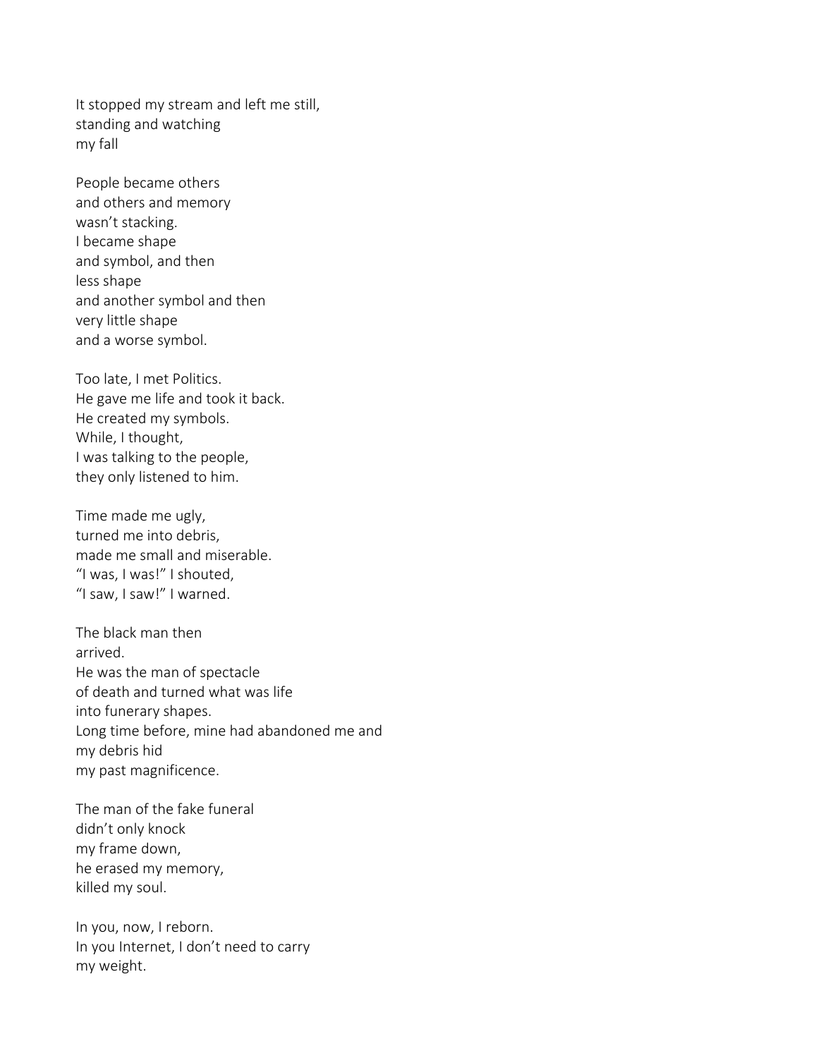It stopped my stream and left me still, standing and watching my fall

People became others and others and memory wasn't stacking. I became shape and symbol, and then less shape and another symbol and then very little shape and a worse symbol.

Too late, I met Politics. He gave me life and took it back. He created my symbols. While, I thought, I was talking to the people, they only listened to him.

Time made me ugly, turned me into debris, made me small and miserable. "I was, I was!" I shouted, "I saw, I saw!" I warned.

The black man then arrived. He was the man of spectacle of death and turned what was life into funerary shapes. Long time before, mine had abandoned me and my debris hid my past magnificence.

The man of the fake funeral didn't only knock my frame down, he erased my memory, killed my soul.

In you, now, I reborn. In you Internet, I don't need to carry my weight.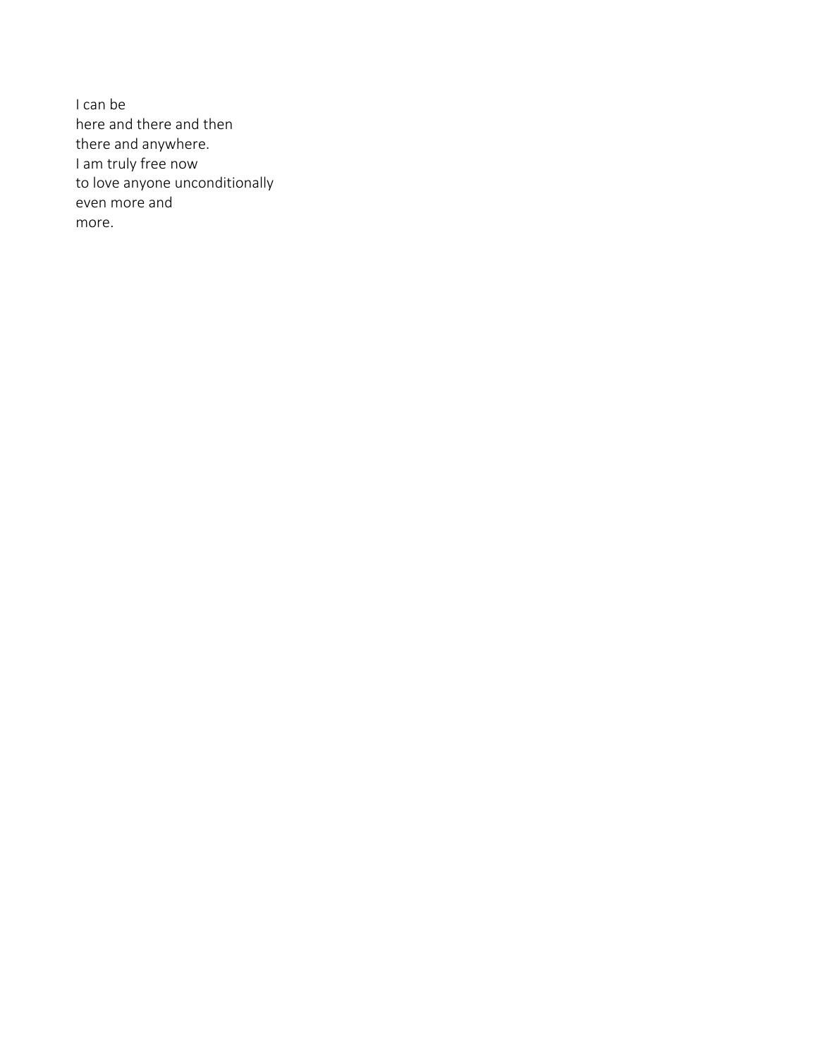I can be here and there and then there and anywhere. I am truly free now to love anyone unconditionally even more and more.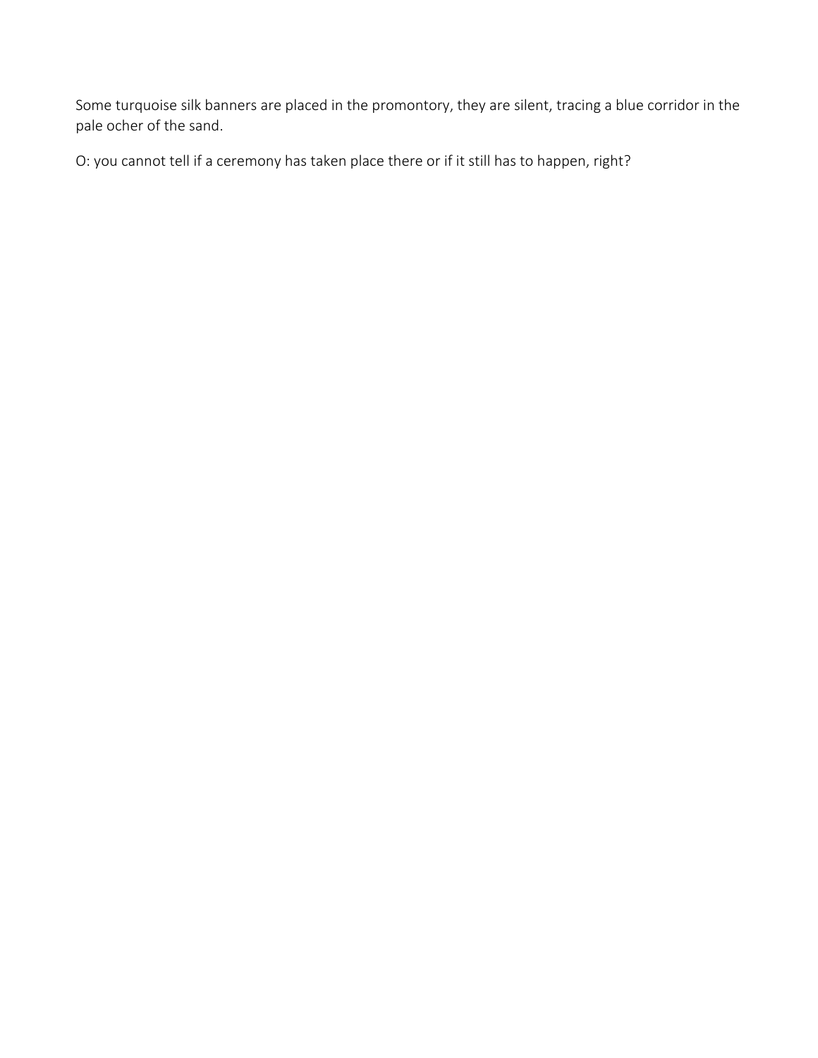Some turquoise silk banners are placed in the promontory, they are silent, tracing a blue corridor in the pale ocher of the sand.

O: you cannot tell if a ceremony has taken place there or if it still has to happen, right?